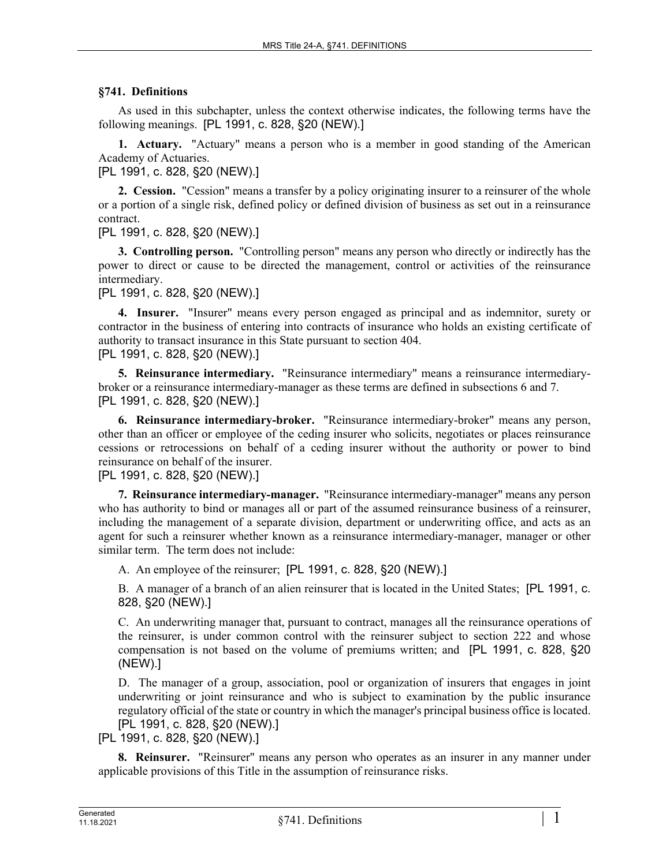## **§741. Definitions**

As used in this subchapter, unless the context otherwise indicates, the following terms have the following meanings. [PL 1991, c. 828, §20 (NEW).]

**1. Actuary.** "Actuary" means a person who is a member in good standing of the American Academy of Actuaries.

[PL 1991, c. 828, §20 (NEW).]

**2. Cession.** "Cession" means a transfer by a policy originating insurer to a reinsurer of the whole or a portion of a single risk, defined policy or defined division of business as set out in a reinsurance contract.

[PL 1991, c. 828, §20 (NEW).]

**3. Controlling person.** "Controlling person" means any person who directly or indirectly has the power to direct or cause to be directed the management, control or activities of the reinsurance intermediary.

[PL 1991, c. 828, §20 (NEW).]

**4. Insurer.** "Insurer" means every person engaged as principal and as indemnitor, surety or contractor in the business of entering into contracts of insurance who holds an existing certificate of authority to transact insurance in this State pursuant to section 404. [PL 1991, c. 828, §20 (NEW).]

**5. Reinsurance intermediary.** "Reinsurance intermediary" means a reinsurance intermediarybroker or a reinsurance intermediary-manager as these terms are defined in subsections 6 and 7. [PL 1991, c. 828, §20 (NEW).]

**6. Reinsurance intermediary-broker.** "Reinsurance intermediary-broker" means any person, other than an officer or employee of the ceding insurer who solicits, negotiates or places reinsurance cessions or retrocessions on behalf of a ceding insurer without the authority or power to bind reinsurance on behalf of the insurer.

[PL 1991, c. 828, §20 (NEW).]

**7. Reinsurance intermediary-manager.** "Reinsurance intermediary-manager" means any person who has authority to bind or manages all or part of the assumed reinsurance business of a reinsurer, including the management of a separate division, department or underwriting office, and acts as an agent for such a reinsurer whether known as a reinsurance intermediary-manager, manager or other similar term. The term does not include:

A. An employee of the reinsurer; [PL 1991, c. 828, §20 (NEW).]

B. A manager of a branch of an alien reinsurer that is located in the United States; [PL 1991, c. 828, §20 (NEW).]

C. An underwriting manager that, pursuant to contract, manages all the reinsurance operations of the reinsurer, is under common control with the reinsurer subject to section 222 and whose compensation is not based on the volume of premiums written; and [PL 1991, c. 828, §20 (NEW).]

D. The manager of a group, association, pool or organization of insurers that engages in joint underwriting or joint reinsurance and who is subject to examination by the public insurance regulatory official of the state or country in which the manager's principal business office is located. [PL 1991, c. 828, §20 (NEW).]

[PL 1991, c. 828, §20 (NEW).]

**8. Reinsurer.** "Reinsurer" means any person who operates as an insurer in any manner under applicable provisions of this Title in the assumption of reinsurance risks.